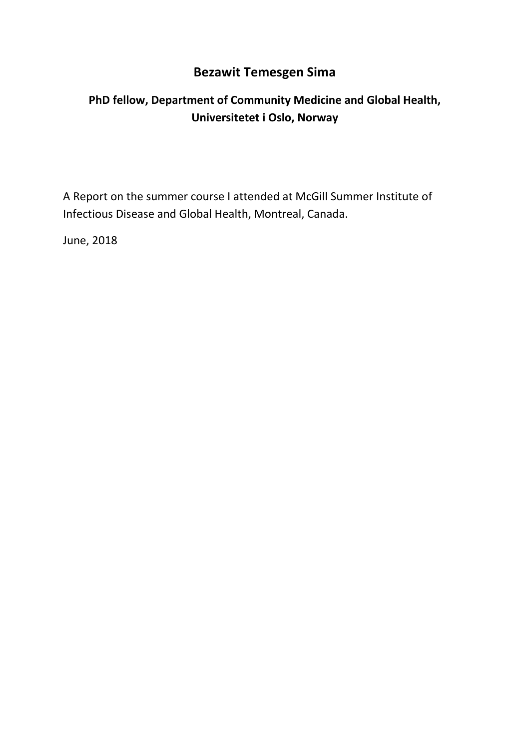### **Bezawit Temesgen Sima**

## **PhD fellow, Department of Community Medicine and Global Health, Universitetet i Oslo, Norway**

A Report on the summer course I attended at McGill Summer Institute of Infectious Disease and Global Health, Montreal, Canada.

June, 2018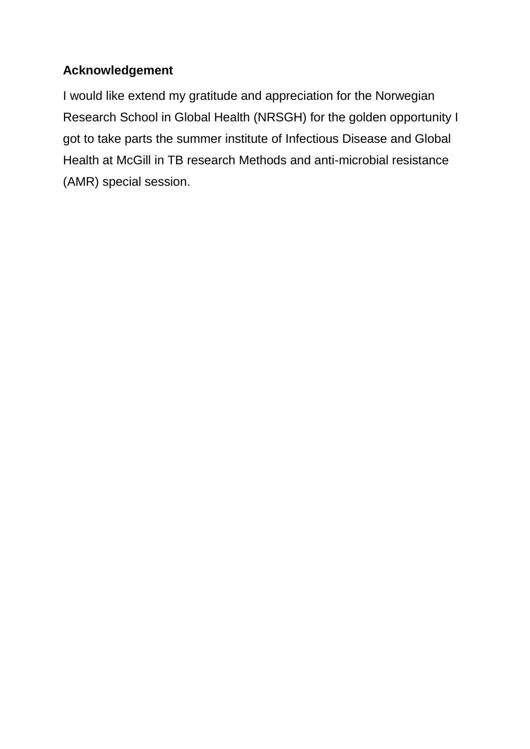# **Acknowledgement**

I would like extend my gratitude and appreciation for the Norwegian Research School in Global Health (NRSGH) for the golden opportunity I got to take parts the summer institute of Infectious Disease and Global Health at McGill in TB research Methods and anti-microbial resistance (AMR) special session.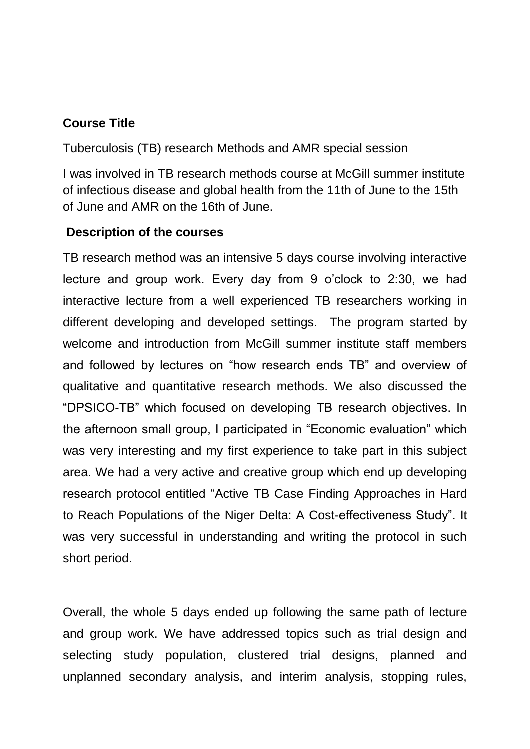### **Course Title**

Tuberculosis (TB) research Methods and AMR special session

I was involved in TB research methods course at McGill summer institute of infectious disease and global health from the 11th of June to the 15th of June and AMR on the 16th of June.

#### **Description of the courses**

TB research method was an intensive 5 days course involving interactive lecture and group work. Every day from 9 o'clock to 2:30, we had interactive lecture from a well experienced TB researchers working in different developing and developed settings. The program started by welcome and introduction from McGill summer institute staff members and followed by lectures on "how research ends TB" and overview of qualitative and quantitative research methods. We also discussed the "DPSICO-TB" which focused on developing TB research objectives. In the afternoon small group, I participated in "Economic evaluation" which was very interesting and my first experience to take part in this subject area. We had a very active and creative group which end up developing research protocol entitled "Active TB Case Finding Approaches in Hard to Reach Populations of the Niger Delta: A Cost-effectiveness Study". It was very successful in understanding and writing the protocol in such short period.

Overall, the whole 5 days ended up following the same path of lecture and group work. We have addressed topics such as trial design and selecting study population, clustered trial designs, planned and unplanned secondary analysis, and interim analysis, stopping rules,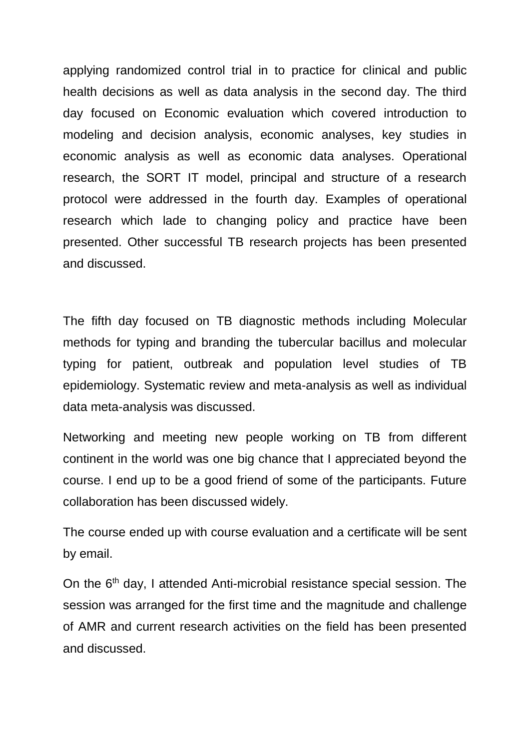applying randomized control trial in to practice for clinical and public health decisions as well as data analysis in the second day. The third day focused on Economic evaluation which covered introduction to modeling and decision analysis, economic analyses, key studies in economic analysis as well as economic data analyses. Operational research, the SORT IT model, principal and structure of a research protocol were addressed in the fourth day. Examples of operational research which lade to changing policy and practice have been presented. Other successful TB research projects has been presented and discussed.

The fifth day focused on TB diagnostic methods including Molecular methods for typing and branding the tubercular bacillus and molecular typing for patient, outbreak and population level studies of TB epidemiology. Systematic review and meta-analysis as well as individual data meta-analysis was discussed.

Networking and meeting new people working on TB from different continent in the world was one big chance that I appreciated beyond the course. I end up to be a good friend of some of the participants. Future collaboration has been discussed widely.

The course ended up with course evaluation and a certificate will be sent by email.

On the 6<sup>th</sup> day, I attended Anti-microbial resistance special session. The session was arranged for the first time and the magnitude and challenge of AMR and current research activities on the field has been presented and discussed.